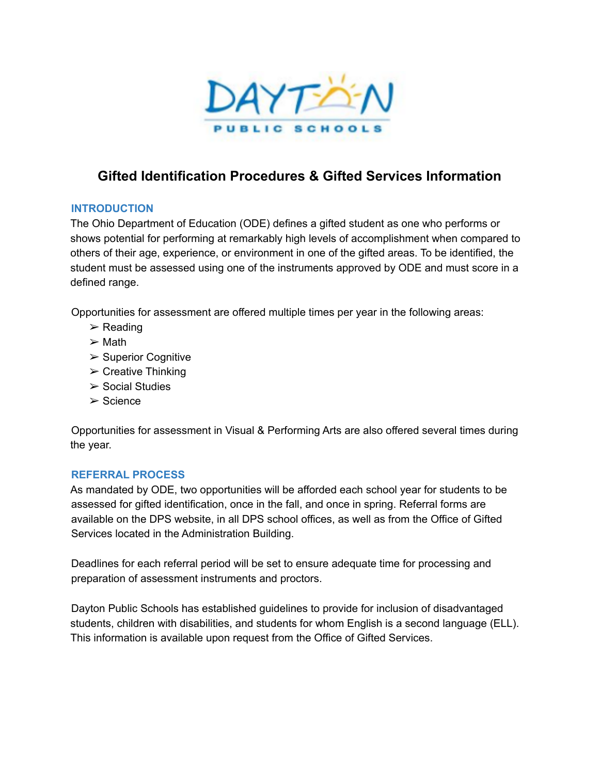

## **Gifted Identification Procedures & Gifted Services Information**

## **INTRODUCTION**

The Ohio Department of Education (ODE) defines a gifted student as one who performs or shows potential for performing at remarkably high levels of accomplishment when compared to others of their age, experience, or environment in one of the gifted areas. To be identified, the student must be assessed using one of the instruments approved by ODE and must score in a defined range.

Opportunities for assessment are offered multiple times per year in the following areas:

- $\triangleright$  Reading
- $\triangleright$  Math
- $\triangleright$  Superior Cognitive
- $\triangleright$  Creative Thinking
- $\triangleright$  Social Studies
- ➢ Science

Opportunities for assessment in Visual & Performing Arts are also offered several times during the year.

### **REFERRAL PROCESS**

As mandated by ODE, two opportunities will be afforded each school year for students to be assessed for gifted identification, once in the fall, and once in spring. Referral forms are available on the DPS website, in all DPS school offices, as well as from the Office of Gifted Services located in the Administration Building.

Deadlines for each referral period will be set to ensure adequate time for processing and preparation of assessment instruments and proctors.

Dayton Public Schools has established guidelines to provide for inclusion of disadvantaged students, children with disabilities, and students for whom English is a second language (ELL). This information is available upon request from the Office of Gifted Services.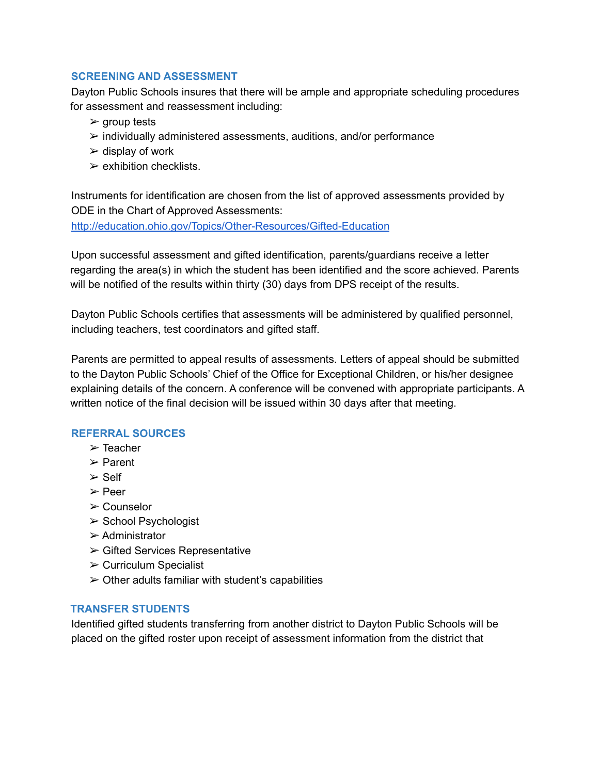### **SCREENING AND ASSESSMENT**

Dayton Public Schools insures that there will be ample and appropriate scheduling procedures for assessment and reassessment including:

- $\triangleright$  group tests
- $\triangleright$  individually administered assessments, auditions, and/or performance
- $\geq$  display of work
- $\triangleright$  exhibition checklists.

Instruments for identification are chosen from the list of approved assessments provided by ODE in the Chart of Approved Assessments:

http://education.ohio.gov/Topics/Other-Resources/Gifted-Education

Upon successful assessment and gifted identification, parents/guardians receive a letter regarding the area(s) in which the student has been identified and the score achieved. Parents will be notified of the results within thirty (30) days from DPS receipt of the results.

Dayton Public Schools certifies that assessments will be administered by qualified personnel, including teachers, test coordinators and gifted staff.

Parents are permitted to appeal results of assessments. Letters of appeal should be submitted to the Dayton Public Schools' Chief of the Office for Exceptional Children, or his/her designee explaining details of the concern. A conference will be convened with appropriate participants. A written notice of the final decision will be issued within 30 days after that meeting.

## **REFERRAL SOURCES**

- ➢ Teacher
- ➢ Parent
- ➢ Self
- ➢ Peer
- ➢ Counselor
- ➢ School Psychologist
- ➢ Administrator
- ➢ Gifted Services Representative
- $\triangleright$  Curriculum Specialist
- $\geq$  Other adults familiar with student's capabilities

### **TRANSFER STUDENTS**

Identified gifted students transferring from another district to Dayton Public Schools will be placed on the gifted roster upon receipt of assessment information from the district that